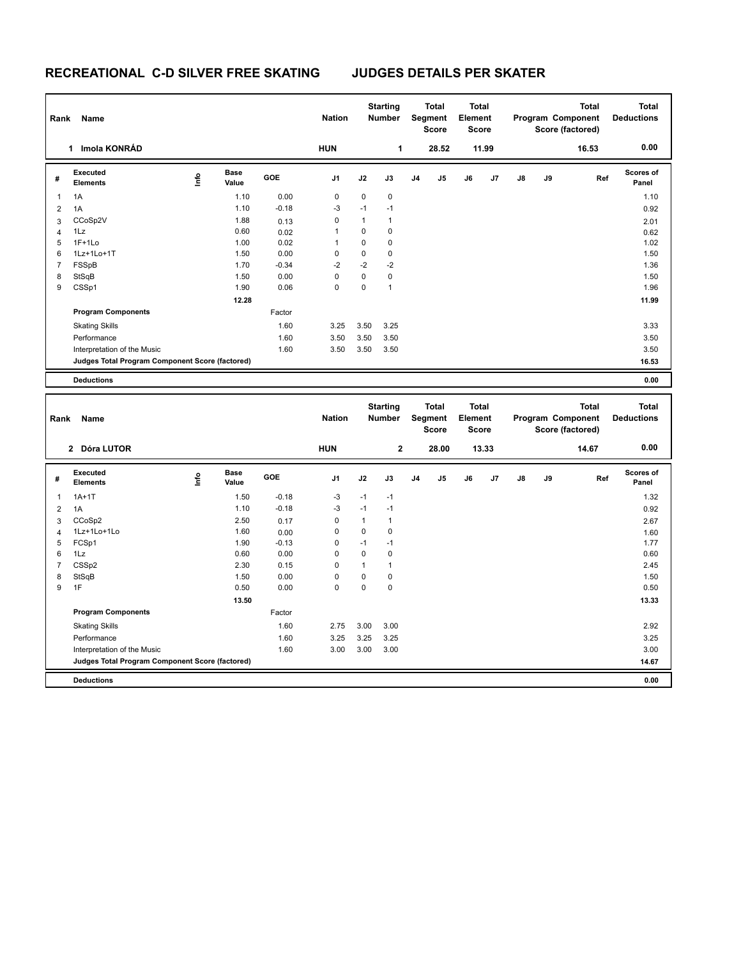# **RECREATIONAL C-D SILVER FREE SKATING JUDGES DETAILS PER SKATER**

|                |                                                 | <b>Name</b><br>Rank |                      |         |                |              | <b>Starting</b><br><b>Number</b> |                | <b>Total</b><br>Segment<br><b>Score</b> |    | <b>Total</b><br>Element<br><b>Score</b> |               |    | Program Component<br>Score (factored) | <b>Total</b><br><b>Deductions</b> |
|----------------|-------------------------------------------------|---------------------|----------------------|---------|----------------|--------------|----------------------------------|----------------|-----------------------------------------|----|-----------------------------------------|---------------|----|---------------------------------------|-----------------------------------|
|                | Imola KONRÁD<br>1                               |                     |                      |         |                |              | 1                                |                | 28.52                                   |    | 11.99                                   |               |    | 16.53                                 | 0.00                              |
| #              | Executed<br><b>Elements</b>                     | lnfo                | <b>Base</b><br>Value | GOE     | J <sub>1</sub> | J2           | J3                               | J <sub>4</sub> | J <sub>5</sub>                          | J6 | J7                                      | $\mathsf{J}8$ | J9 | Ref                                   | <b>Scores of</b><br>Panel         |
| 1              | 1A                                              |                     | 1.10                 | 0.00    | 0              | $\mathbf 0$  | $\mathbf 0$                      |                |                                         |    |                                         |               |    |                                       | 1.10                              |
| $\overline{2}$ | 1A                                              |                     | 1.10                 | $-0.18$ | $-3$           | $-1$         | $-1$                             |                |                                         |    |                                         |               |    |                                       | 0.92                              |
| 3              | CCoSp2V                                         |                     | 1.88                 | 0.13    | 0              | $\mathbf{1}$ | 1                                |                |                                         |    |                                         |               |    |                                       | 2.01                              |
| 4              | 1Lz                                             |                     | 0.60                 | 0.02    |                | $\mathbf 0$  | $\mathbf 0$                      |                |                                         |    |                                         |               |    |                                       | 0.62                              |
| 5              | $1F+1Lo$                                        |                     | 1.00                 | 0.02    |                | $\mathbf 0$  | $\mathbf 0$                      |                |                                         |    |                                         |               |    |                                       | 1.02                              |
| 6              | 1Lz+1Lo+1T                                      |                     | 1.50                 | 0.00    | 0              | $\mathsf 0$  | 0                                |                |                                         |    |                                         |               |    |                                       | 1.50                              |
| $\overline{7}$ | FSSpB                                           |                     | 1.70                 | $-0.34$ | $-2$           | $-2$         | $-2$                             |                |                                         |    |                                         |               |    |                                       | 1.36                              |
| 8              | StSqB                                           |                     | 1.50                 | 0.00    | 0              | $\mathbf 0$  | $\mathbf 0$                      |                |                                         |    |                                         |               |    |                                       | 1.50                              |
| 9              | CSSp1                                           |                     | 1.90                 | 0.06    | 0              | $\mathbf 0$  | $\mathbf{1}$                     |                |                                         |    |                                         |               |    |                                       | 1.96                              |
|                |                                                 |                     | 12.28                |         |                |              |                                  |                |                                         |    |                                         |               |    |                                       | 11.99                             |
|                | <b>Program Components</b>                       |                     |                      | Factor  |                |              |                                  |                |                                         |    |                                         |               |    |                                       |                                   |
|                | <b>Skating Skills</b>                           |                     |                      | 1.60    | 3.25           | 3.50         | 3.25                             |                |                                         |    |                                         |               |    |                                       | 3.33                              |
|                | Performance                                     |                     |                      | 1.60    | 3.50           | 3.50         | 3.50                             |                |                                         |    |                                         |               |    |                                       | 3.50                              |
|                | Interpretation of the Music                     |                     |                      | 1.60    | 3.50           | 3.50         | 3.50                             |                |                                         |    |                                         |               |    |                                       | 3.50                              |
|                | Judges Total Program Component Score (factored) |                     |                      |         |                |              |                                  |                |                                         |    |                                         |               |    |                                       | 16.53                             |
|                | <b>Deductions</b>                               |                     |                      |         |                |              |                                  |                |                                         |    |                                         |               |    |                                       | 0.00                              |

| Rank           | <b>Name</b>                                     |       |                      |         | <b>Nation</b>  |             | <b>Starting</b><br>Number |                | <b>Total</b><br>Segment<br><b>Score</b> | <b>Total</b><br>Element<br>Score |       |               |    | <b>Total</b><br>Program Component<br>Score (factored) | <b>Total</b><br><b>Deductions</b> |
|----------------|-------------------------------------------------|-------|----------------------|---------|----------------|-------------|---------------------------|----------------|-----------------------------------------|----------------------------------|-------|---------------|----|-------------------------------------------------------|-----------------------------------|
|                | 2 Dóra LUTOR                                    |       |                      |         | <b>HUN</b>     |             | $\mathbf{2}$              |                | 28.00                                   |                                  | 13.33 |               |    | 14.67                                                 | 0.00                              |
| #              | Executed<br><b>Elements</b>                     | Linfo | <b>Base</b><br>Value | GOE     | J <sub>1</sub> | J2          | J3                        | J <sub>4</sub> | J5                                      | J6                               | J7    | $\mathsf{J}8$ | J9 | Ref                                                   | Scores of<br>Panel                |
| 1              | $1A+1T$                                         |       | 1.50                 | $-0.18$ | $-3$           | $-1$        | $-1$                      |                |                                         |                                  |       |               |    |                                                       | 1.32                              |
| 2              | 1A                                              |       | 1.10                 | $-0.18$ | $-3$           | $-1$        | $-1$                      |                |                                         |                                  |       |               |    |                                                       | 0.92                              |
| 3              | CCoSp2                                          |       | 2.50                 | 0.17    | 0              | 1           | 1                         |                |                                         |                                  |       |               |    |                                                       | 2.67                              |
| 4              | 1Lz+1Lo+1Lo                                     |       | 1.60                 | 0.00    | 0              | $\mathbf 0$ | $\mathbf 0$               |                |                                         |                                  |       |               |    |                                                       | 1.60                              |
| 5              | FCSp1                                           |       | 1.90                 | $-0.13$ | 0              | $-1$        | $-1$                      |                |                                         |                                  |       |               |    |                                                       | 1.77                              |
| 6              | 1Lz                                             |       | 0.60                 | 0.00    | 0              | $\mathbf 0$ | 0                         |                |                                         |                                  |       |               |    |                                                       | 0.60                              |
| $\overline{7}$ | CSS <sub>p2</sub>                               |       | 2.30                 | 0.15    | $\Omega$       | 1           |                           |                |                                         |                                  |       |               |    |                                                       | 2.45                              |
| 8              | StSqB                                           |       | 1.50                 | 0.00    | 0              | 0           | 0                         |                |                                         |                                  |       |               |    |                                                       | 1.50                              |
| 9              | 1F                                              |       | 0.50                 | 0.00    | 0              | 0           | 0                         |                |                                         |                                  |       |               |    |                                                       | 0.50                              |
|                |                                                 |       | 13.50                |         |                |             |                           |                |                                         |                                  |       |               |    |                                                       | 13.33                             |
|                | <b>Program Components</b>                       |       |                      | Factor  |                |             |                           |                |                                         |                                  |       |               |    |                                                       |                                   |
|                | <b>Skating Skills</b>                           |       |                      | 1.60    | 2.75           | 3.00        | 3.00                      |                |                                         |                                  |       |               |    |                                                       | 2.92                              |
|                | Performance                                     |       |                      | 1.60    | 3.25           | 3.25        | 3.25                      |                |                                         |                                  |       |               |    |                                                       | 3.25                              |
|                | Interpretation of the Music                     |       |                      | 1.60    | 3.00           | 3.00        | 3.00                      |                |                                         |                                  |       |               |    |                                                       | 3.00                              |
|                | Judges Total Program Component Score (factored) |       |                      |         |                |             |                           |                |                                         |                                  |       |               |    |                                                       | 14.67                             |
|                | <b>Deductions</b>                               |       |                      |         |                |             |                           |                |                                         |                                  |       |               |    |                                                       | 0.00                              |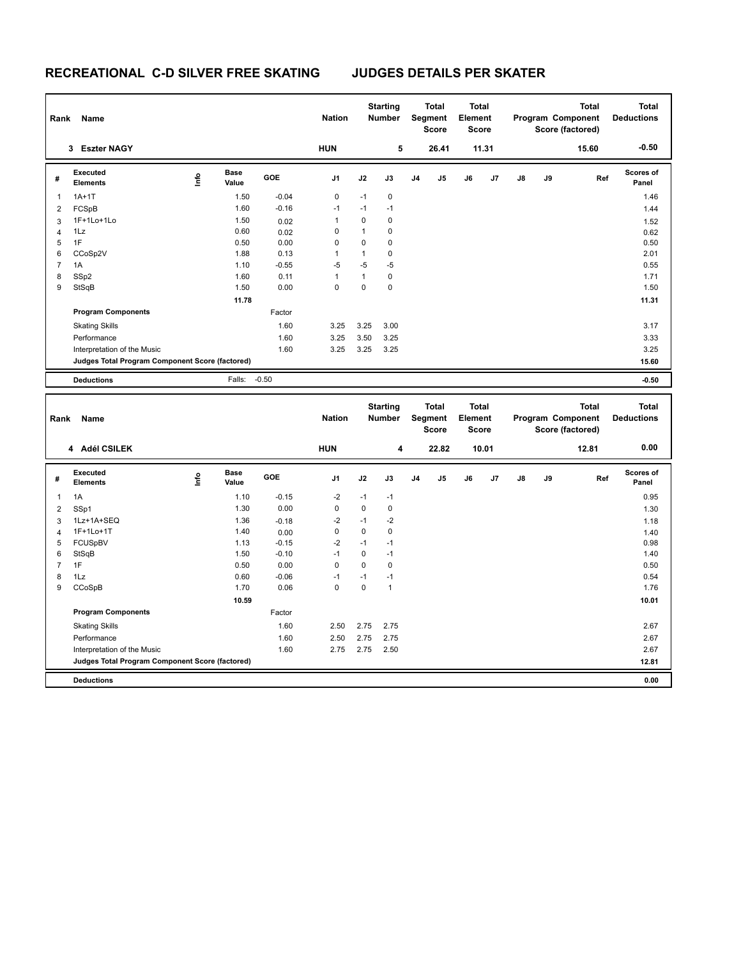# **RECREATIONAL C-D SILVER FREE SKATING JUDGES DETAILS PER SKATER**

| Rank | Name                                            |      |                      |         | <b>Nation</b>  |              | <b>Starting</b><br>Number |                | <b>Total</b><br>Segment<br><b>Score</b> |    | <b>Total</b><br>Element<br><b>Score</b> |               |    | <b>Total</b><br>Program Component<br>Score (factored) | <b>Total</b><br><b>Deductions</b> |
|------|-------------------------------------------------|------|----------------------|---------|----------------|--------------|---------------------------|----------------|-----------------------------------------|----|-----------------------------------------|---------------|----|-------------------------------------------------------|-----------------------------------|
|      | <b>Eszter NAGY</b><br>3                         |      |                      |         | <b>HUN</b>     |              | 5                         |                | 26.41                                   |    | 11.31                                   |               |    | 15.60                                                 | $-0.50$                           |
| #    | <b>Executed</b><br><b>Elements</b>              | lnfo | <b>Base</b><br>Value | GOE     | J <sub>1</sub> | J2           | J3                        | J <sub>4</sub> | J5                                      | J6 | J <sub>7</sub>                          | $\mathsf{J}8$ | J9 | Ref                                                   | <b>Scores of</b><br>Panel         |
| 1    | $1A+1T$                                         |      | 1.50                 | $-0.04$ | 0              | $-1$         | 0                         |                |                                         |    |                                         |               |    |                                                       | 1.46                              |
| 2    | FCSpB                                           |      | 1.60                 | $-0.16$ | $-1$           | $-1$         | $-1$                      |                |                                         |    |                                         |               |    |                                                       | 1.44                              |
| 3    | 1F+1Lo+1Lo                                      |      | 1.50                 | 0.02    | 1              | 0            | 0                         |                |                                         |    |                                         |               |    |                                                       | 1.52                              |
| Δ    | 1Lz                                             |      | 0.60                 | 0.02    | 0              | $\mathbf{1}$ | $\mathbf 0$               |                |                                         |    |                                         |               |    |                                                       | 0.62                              |
| 5    | 1F                                              |      | 0.50                 | 0.00    | 0              | $\mathbf 0$  | 0                         |                |                                         |    |                                         |               |    |                                                       | 0.50                              |
| 6    | CCoSp2V                                         |      | 1.88                 | 0.13    | 1              | 1            | 0                         |                |                                         |    |                                         |               |    |                                                       | 2.01                              |
|      | 1A                                              |      | 1.10                 | $-0.55$ | $-5$           | $-5$         | $-5$                      |                |                                         |    |                                         |               |    |                                                       | 0.55                              |
| 8    | SSp2                                            |      | 1.60                 | 0.11    | 1              | $\mathbf{1}$ | $\mathbf 0$               |                |                                         |    |                                         |               |    |                                                       | 1.71                              |
| 9    | StSqB                                           |      | 1.50                 | 0.00    | 0              | $\mathbf 0$  | $\mathbf 0$               |                |                                         |    |                                         |               |    |                                                       | 1.50                              |
|      |                                                 |      | 11.78                |         |                |              |                           |                |                                         |    |                                         |               |    |                                                       | 11.31                             |
|      | <b>Program Components</b>                       |      |                      | Factor  |                |              |                           |                |                                         |    |                                         |               |    |                                                       |                                   |
|      | <b>Skating Skills</b>                           |      |                      | 1.60    | 3.25           | 3.25         | 3.00                      |                |                                         |    |                                         |               |    |                                                       | 3.17                              |
|      | Performance                                     |      |                      | 1.60    | 3.25           | 3.50         | 3.25                      |                |                                         |    |                                         |               |    |                                                       | 3.33                              |
|      | Interpretation of the Music                     |      |                      | 1.60    | 3.25           | 3.25         | 3.25                      |                |                                         |    |                                         |               |    |                                                       | 3.25                              |
|      | Judges Total Program Component Score (factored) |      |                      |         |                |              |                           |                |                                         |    |                                         |               |    |                                                       | 15.60                             |
|      | <b>Deductions</b>                               |      | Falls:               | $-0.50$ |                |              |                           |                |                                         |    |                                         |               |    |                                                       | $-0.50$                           |
|      |                                                 |      |                      |         |                |              |                           |                |                                         |    |                                         |               |    |                                                       |                                   |

| Rank           | Name                                            |      |                      |         | <b>Nation</b>  |             | <b>Starting</b><br>Number |                | <b>Total</b><br>Segment<br><b>Score</b> | <b>Total</b><br>Element<br><b>Score</b> |       |               |    | <b>Total</b><br>Program Component<br>Score (factored) | <b>Total</b><br><b>Deductions</b> |
|----------------|-------------------------------------------------|------|----------------------|---------|----------------|-------------|---------------------------|----------------|-----------------------------------------|-----------------------------------------|-------|---------------|----|-------------------------------------------------------|-----------------------------------|
|                | 4 Adél CSILEK                                   |      |                      |         | <b>HUN</b>     |             | 4                         |                | 22.82                                   |                                         | 10.01 |               |    | 12.81                                                 | 0.00                              |
| #              | <b>Executed</b><br><b>Elements</b>              | lnfo | <b>Base</b><br>Value | GOE     | J <sub>1</sub> | J2          | J3                        | J <sub>4</sub> | J <sub>5</sub>                          | J6                                      | J7    | $\mathsf{J}8$ | J9 | Ref                                                   | <b>Scores of</b><br>Panel         |
| 1              | 1A                                              |      | 1.10                 | $-0.15$ | $-2$           | $-1$        | $-1$                      |                |                                         |                                         |       |               |    |                                                       | 0.95                              |
| 2              | SSp1                                            |      | 1.30                 | 0.00    | 0              | 0           | 0                         |                |                                         |                                         |       |               |    |                                                       | 1.30                              |
| 3              | 1Lz+1A+SEQ                                      |      | 1.36                 | $-0.18$ | $-2$           | $-1$        | $-2$                      |                |                                         |                                         |       |               |    |                                                       | 1.18                              |
| 4              | 1F+1Lo+1T                                       |      | 1.40                 | 0.00    | 0              | 0           | 0                         |                |                                         |                                         |       |               |    |                                                       | 1.40                              |
| 5              | <b>FCUSpBV</b>                                  |      | 1.13                 | $-0.15$ | $-2$           | $-1$        | $-1$                      |                |                                         |                                         |       |               |    |                                                       | 0.98                              |
| 6              | StSqB                                           |      | 1.50                 | $-0.10$ | $-1$           | 0           | $-1$                      |                |                                         |                                         |       |               |    |                                                       | 1.40                              |
| $\overline{7}$ | 1F                                              |      | 0.50                 | 0.00    | 0              | $\mathbf 0$ | 0                         |                |                                         |                                         |       |               |    |                                                       | 0.50                              |
| 8              | 1Lz                                             |      | 0.60                 | $-0.06$ | $-1$           | $-1$        | $-1$                      |                |                                         |                                         |       |               |    |                                                       | 0.54                              |
| 9              | CCoSpB                                          |      | 1.70                 | 0.06    | 0              | 0           | $\overline{1}$            |                |                                         |                                         |       |               |    |                                                       | 1.76                              |
|                |                                                 |      | 10.59                |         |                |             |                           |                |                                         |                                         |       |               |    |                                                       | 10.01                             |
|                | <b>Program Components</b>                       |      |                      | Factor  |                |             |                           |                |                                         |                                         |       |               |    |                                                       |                                   |
|                | <b>Skating Skills</b>                           |      |                      | 1.60    | 2.50           | 2.75        | 2.75                      |                |                                         |                                         |       |               |    |                                                       | 2.67                              |
|                | Performance                                     |      |                      | 1.60    | 2.50           | 2.75        | 2.75                      |                |                                         |                                         |       |               |    |                                                       | 2.67                              |
|                | Interpretation of the Music                     |      |                      | 1.60    | 2.75           | 2.75        | 2.50                      |                |                                         |                                         |       |               |    |                                                       | 2.67                              |
|                | Judges Total Program Component Score (factored) |      |                      |         |                |             |                           |                |                                         |                                         |       |               |    |                                                       | 12.81                             |
|                | <b>Deductions</b>                               |      |                      |         |                |             |                           |                |                                         |                                         |       |               |    |                                                       | 0.00                              |